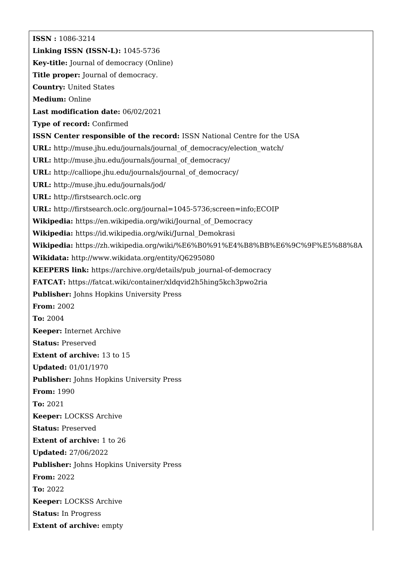**ISSN :** 1086-3214 **Linking ISSN (ISSN-L):** 1045-5736 **Key-title:** Journal of democracy (Online) **Title proper:** Journal of democracy. **Country:** United States **Medium:** Online **Last modification date:** 06/02/2021 **Type of record:** Confirmed **ISSN Center responsible of the record:** ISSN National Centre for the USA **URL:** [http://muse.jhu.edu/journals/journal\\_of\\_democracy/election\\_watch/](http://muse.jhu.edu/journals/journal_of_democracy/election_watch/) **URL:** [http://muse.jhu.edu/journals/journal\\_of\\_democracy/](http://muse.jhu.edu/journals/journal_of_democracy/) URL: [http://calliope.jhu.edu/journals/journal\\_of\\_democracy/](http://calliope.jhu.edu/journals/journal_of_democracy/) **URL:** <http://muse.jhu.edu/journals/jod/> **URL:** <http://firstsearch.oclc.org> **URL:** <http://firstsearch.oclc.org/journal=1045-5736;screen=info;ECOIP> **Wikipedia:** [https://en.wikipedia.org/wiki/Journal\\_of\\_Democracy](https://en.wikipedia.org/wiki/Journal_of_Democracy) **Wikipedia:** [https://id.wikipedia.org/wiki/Jurnal\\_Demokrasi](https://id.wikipedia.org/wiki/Jurnal_Demokrasi) **Wikipedia:** <https://zh.wikipedia.org/wiki/%E6%B0%91%E4%B8%BB%E6%9C%9F%E5%88%8A> **Wikidata:** <http://www.wikidata.org/entity/Q6295080> **KEEPERS link:** [https://archive.org/details/pub\\_journal-of-democracy](https://archive.org/details/pub_journal-of-democracy) **FATCAT:** <https://fatcat.wiki/container/xldqvid2h5hing5kch3pwo2ria> **Publisher:** Johns Hopkins University Press **From:** 2002 **To:** 2004 **Keeper:** Internet Archive **Status:** Preserved **Extent of archive:** 13 to 15 **Updated:** 01/01/1970 **Publisher:** Johns Hopkins University Press **From:** 1990 **To:** 2021 **Keeper:** LOCKSS Archive **Status:** Preserved **Extent of archive:** 1 to 26 **Updated:** 27/06/2022 **Publisher:** Johns Hopkins University Press **From:** 2022 **To:** 2022 **Keeper:** LOCKSS Archive **Status:** In Progress **Extent of archive:** empty